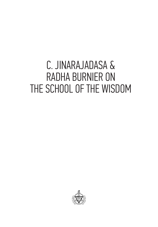# C. JINARAJADASA & RADHA BURNIER ON THE SCHOOL OF THE WISDOM

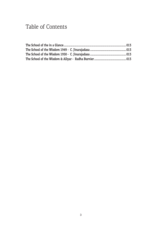## Table of Contents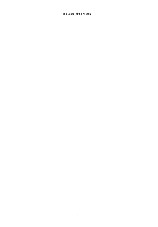The School of the Wisodm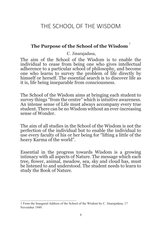#### **The Purpose of the School of the Wisdom** 1

C. Jinarajadasa,

The aim of the School of the Wisdom is to enable the individual to cease from being one who gives intellectual adherence to a particular school of philosophy, and become one who learns to survey the problem of life directly by himself or herself. The essential search is to discover life as it is, life being inseparable from consciousness.

The School of the Wisdom aims at bringing each student to survey things "from the centre" which is intuitive awareness. An intense sense of Life must always accompany every true student. There can be no Wisdom without an ever-increasing sense of Wonder.

The aim of all studies in the School of the Wisdom is not the perfection of the individual but to enable the individual to use every faculty of his or her being for "lifting a little of the heavy Karma of the world".

Essential in the progress towards Wisdom is a growing intimacy with all aspects of Nature. The message which each tree, flower, animal, meadow, sea, sky and cloud has, must be listened to and understood. The student needs to learn to study the Book of Nature.

<sup>1</sup> From the Inaugural Address of the School of the Wisdom by C. Jinarajadasa, 17 November 1949.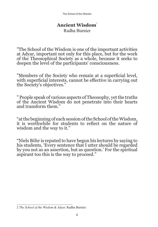#### **Ancient Wisdom**<sup>2</sup> Radha Burnier

"The School of the Wisdom is one of the important activities at Adyar, important not only for this place, but for the work of the Theosophical Society as a whole, because it seeks to deepen the level of the participants' consciousness.

"Members of the Society who remain at a superficial level, with superficial interests, cannot be effective in carrying out the Society's objectives."

" People speak of various aspects of Theosophy, yet the truths of the Ancient Wisdom do not penetrate into their hearts and transform them."

"at the beginning of each session of the School of the Wisdom, it is worthwhile for students to reflect on the nature of wisdom and the way to it."

"Niels Böhr is reputed to have begun his lectures by saying to his students, 'Every sentence that I utter should be regarded by you not as an assertion, but as question.' For the spiritual aspirant too this is the way to proceed."

<sup>2</sup> *The School of the Wisdom & Adyar,* Radha Burnier.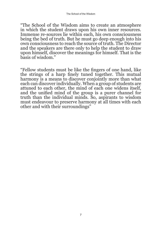"The School of the Wisdom aims to create an atmosphere in which the student draws upon his own inner resources. Immense re-sources lie within each, his own consciousness being the bed of truth. But he must go deep enough into his own consciousness to reach the source of truth. The Director and the speakers are there only to help the student to draw upon himself, discover the meanings for himself. That is the basis of wisdom."

"Fellow students must be like the fingers of one hand, like the strings of a harp finely tuned together. This mutual harmony is a means to discover conjointly more than what each can discover individually. When a group of students are attuned to each other, the mind of each one widens itself, and the unified mind of the group is a purer channel for truth than the individual minds. So, aspirants to wisdom must endeavour to preserve harmony at all times with each other and with their surroundings"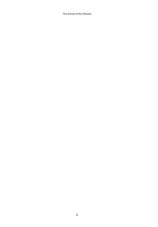The School of the Wisodm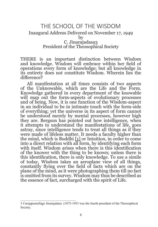#### THE SCHOOL OF THE WISDOM Inaugural Address Delivered on November 17, 1949 by C. Jinarajadasa3 President of the Theosophical Society

THERE is an important distinction between Wisdom and knowledge. Wisdom will embrace within her field of operations every form of knowledge; but all knowledge in its entirety does not constitute Wisdom. Wherein lies the difference?

All manifestation at all times consists of two aspects of the Unknowable, which are the Life and the Form. Knowledge gathered in every department of the knowable will map out the form-aspects of evolutionary processes and of being. Now, it is one function of the Wisdom-aspect in an individual to be in intimate touch with the form-side of everything; yet the universe in its aspect of form cannot be understood merely by mental processes, however high they are. Bergson has pointed out how intelligence, when it attempts to understand the manifestations of life, goes astray, since intelligence tends to treat all things as if they were made of lifeless matter. It needs a faculty higher than the mind, which is Buddhi [1] or Intuition, in order to come into a direct relation with all form, by identifying each form with itself. Wisdom arises when there is this identification of the knower with the thing to be known; unless there is this identification, there is only knowledge. To use a simile of today, Wisdom takes an aeroplane view of all things, constantly flying over the field of facts which are on the plane of the mind, as it were photographing them till no fact is omitted from its survey. Wisdom may thus be described as the essence of fact, surcharged with the spirit of Life.

<sup>3</sup> Curuppumullage Jinarajadasa (1875-1953 was the fourth president of the Theosophical Society.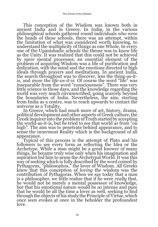This conception of the Wisdom was known both in ancient India and in Greece. In India, in the various philosophical schools gathered round individuals who were the heads of these schools, there was an attempt, within the limitation of what was considered worth knowing, to understand the multiplicity of things as one Whole. In every one of the Upanishadic schools the theme was to know life as the Unity. It was realized that this could not be achieved by mere mental processes; an essential element of the problem of acquiring Wisdom was a life of purification and dedication, with the mind and the emotions directed to high ideals through prayers and meditations. In ancient India, the search throughout was to discover, less the thing-as-itis, and more the *life-as-it-is.* Of course the word "life" was inseparable from the word "consciousness". There was very little science in those days, and the knowledge regarding the world was very much circumscribed, going scarcely beyond the boundaries of India. Nevertheless, the aim, starting from India as a centre, was to reach upwards to contact the

In Greece, which had much more of art, history, drama, political development and other aspects of Greek culture, the Greek inquirer into the problem of Truth started by accepting the world-as-it-is, but he tried to see that world as from "on high". The aim was to penetrate behind appearance, and to sense the innermost Reality which is the background of all

appearance. Typical of this process is the attempt of Plato and his followers to see every form as reflecting the Idea or the Archetype. While a man might be a great knower of many things, he became truly wise only when his imagination and aspiration led him to sense the Archetypal World. It was this way of seeking which is fully described by the word coined by Pythagoras, "philosophos," the lover of Wisdom. All Greeks knew that this conception of *loving* the wisdom was the contribution of Pythagoras. When we say today that a man is a philosopher, we little realize that if he were *really* that, he would not be merely a mental possessor of knowledge, but that his emotional nature would be so intense and pure that he would be all the time a lover as well, seeking to find through the objects of his study the Principle of Virtue, which once seen evokes at once in the beholder the profoundest love.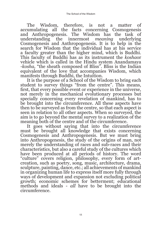The Wisdom, therefore, is not a matter of accumulating all the facts concerning Cosmogenesis and Anthropogenesis. The Wisdom has the task of understanding the innermost *meaning* underlying Cosmogenesis and Anthropogenesis. It is to help in the search for Wisdom that the individual has at his service a faculty greater than the higher mind, which is Buddhi. This faculty of Buddhi has as its instrument the *kosha*or vehicle which is called in the Hindu system Anandamaya *-kosha,* "the sheath composed of Bliss". Bliss is the Indian equivalent of the love that accompanies Wisdom, which manifests through Buddhi, the Intuition.

It is the purpose of a School of the Wisdom to bring each student to survey things "from the centre". This means, first, that every possible event or experience in the universe, not merely in the mechanical evolutionary processes but specially concerning every revelation of mankind, has to be brought into the circumference. All these aspects have then to be surveyed as from the centre, so that each aspect is seen in relation to all other aspects. When so surveyed, the aim is to go beyond the mental survey to a realization of the meaning both of the centre and of the circumference.

It goes without saying that into the circumference must be brought all knowledge that exists concerning Cosmogenesis and Anthropogenesis. But we must bring into Anthropogenesis, the study of the origins of man, not merely the understanding of races and sub-races and their characteristics, but also a careful study of the cultures which have been produced at all periods of history. The word "culture" covers religion, philosophy, every form of artcreation, such as poetry, song, music, architecture, drama, sculpture, painting, dance, etc.; all achievements of mankind in organizing human life to express itself more fully through ways of development and expansion not excluding political growth; economic schemes for betterment; educational methods and ideals - *all* have to be brought into the circumference.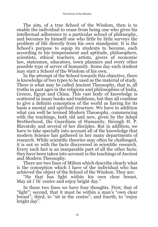The aim, of a true School of the Wisdom, then is to enable the individual to cease from being one who gives his intellectual adherence to a particular school of philosophy, and becomes by himself one who little by little surveys the problem of life directly from his own standpoint. It is the School's purpose to equip its students to become, each according to his temperament and aptitude, philosophers, scientists, ethical teachers, artists, givers of economic law, statesmen, educators, town planners and every other possible type of server of humanity. Some day each student may start a School of the Wisdom of his own.

In the attempt of the School towards this objective, there is knowledge of two types to be used as the material of study. There is what may be called Ancient Theosophy, that is, all truths in past ages in the religions and philosophies of India, Greece, Egypt and China. This vast body of knowledge is scattered in many books and traditions, but they all combine to give a definite conception of the world as having for its basis a mental and spiritual structure. We have in addition what can well be termed Modern Theosophy, commencing with the teachings, both old and new, given by the Adept Brotherhood, the Guardians of Humanity, through H. P. Blavatsky and several of her disciples. But in addition, we have to take specially into account all of the knowledge that modern Science has gathered in her many departments of research. While scientific theories may often be challenged, it is not so with the facts discovered in scientific research. Every such fact is an inseparable part of all the other facts; they have been taken into account in the teachings of Ancient and Modern Theosophy.

There are two lines of Milton which describe clearly what is the conception which I have of the individual who has achieved the object of the School of the Wisdom. They are:

"He that has light within his own clear breast, May sit i' th' centre and enjoy bright day."

In these two lines we have four thoughts. First, that of "light"; second, that it must be within a man's "own clear breast"; third, to "sit in the centre"; and fourth, to "enjoy bright day".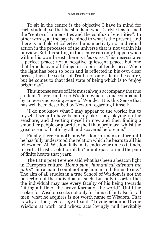To sit in the centre is the objective I have in mind for each student, so that he stands in what Carlyle has termed the "centre of immensities and the conflux of eternities". In other words, all the past is joined to what is the present, and there is no field of collective human activity nor individual action in the processes of the universe that is not within his purview. But this sitting in the centre can only happen when within his own breast there is *clearness.* This necessitates a perfect peace; not a negative quiescent peace, but one that broods over all things in a spirit of tenderness. When the light has been so born and is reflected in his own clear breast, then the seeker of Truth not only sits in the centre, but he comes to that ideal state of being which is to "enjoy bright day".

This intense sense of Life must always accompany the true student. There can be no Wisdom which is unaccompanied by an ever-increasing sense of Wonder. It is this Sense that has well been described by Newton regarding himself:

"I do not know what I may appear to the world; but to myself I seem to have been only like a boy playing on the seashore, and diverting myself in now and then finding a smoother pebble or a prettier shell than ordinary, whilst the great ocean of truth lay all undiscovered before me."

Finally, there cannot be any Wisdom in a man's nature until he has fully understood the relation which he bears to all his fellowmen. All Wisdom fails in its endeavour unless it finds, in part, at least, a solution of the "infinite passion and the pain of finite hearts that yearn".

The Latin poet Terence said what has been a beacon light in European culture: *Homo sum, humani nil alienum me puto*:"I am a man; I count nothing human indifferent to me." The aim of all studies in a true School of Wisdom is not the perfection of the individual as such, but only in order that the individual may use every faculty of his being towards "lifting a little of the heavy Karma of the world". Until the seeker for Wisdom seeks not only for himself, but also for all men, what he acquires is not worth name of Wisdom. That is why as long ago as 1921 I said: "Loving action is Divine Wisdom at work, and whoso acts lovingly mill inevitably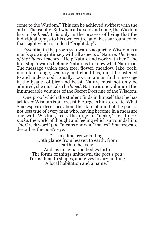come to the Wisdom." This can be achieved swiftest with the aid of Theosophy. But when all is said and done, the Wisdom has to be *lived.* It is only in the process of living that the individual tomes to his own centre, and lives surrounded by that Light which is indeed "bright day".

Essential in the progress towards acquiring Wisdom is a man's growing intimacy with all aspects of Nature. *The Voice of the Silence* teaches: "Help Nature and work with her." The first step towards helping Nature is to know what Nature is. The message which each tree, flower, meadow, lake, rock, mountain range, sea, sky and cloud has, must be listened to and understood. Equally, too, can a man find a message in the beauty of bird and beast. Nature must not only be admired; she must also be *loved*. Nature is one volume of the innumerable volumes of the Secret Doctrine of the Wisdom.

One proof which the student finds in himself that he has achieved Wisdom is an irresistible urge in him to create. What Shakespeare describes about the state of mind of the poet is not less true of every man who, having become in a measure one with Wisdom, feels the urge to "make," *i.e.,* to *remake,*the world of thought and feeling which surrounds him. The Greek word "poet"means one who "makes". Shakespeare describes the poet's eye:

> " … in a fine frenzy rolling, Doth glance from heaven to earth, from earth to heaven; And, as imagination bodies forth The forms of things unknown, the poet's pen Turns them to shapes, and gives to airy nothing A local habitation and a name."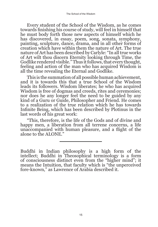Every student of the School of the Wisdom, as he comes towards finishing his course of study, will feel in himself that he must body forth those new aspects of himself which he has discovered, in essay, poem, song, sonata, symphony, painting, sculpture, dance, drama, and in all other forms of creation which have within them the nature of Art. The true nature of Art has been described by Carlyle: "In all true works of Art wilt thou discern Eternity looking through Time, the Godlike rendered visible." Thus it follows, that every thought, feeling and action of the man who has acquired Wisdom is all the time revealing the Eternal and Godlike.

This is the summation of all possible human achievement, and it is towards this that a true School of the Wisdom leads its followers. Wisdom liberates; he who has acquired Wisdom is free of dogmas and creeds, rites and ceremonies; nor does he any longer feel the need to be guided by any kind of a Guru or Guide, Philosopher and Friend. He comes to a realization of the true relation which he has towards Infinite Being, which has been described by Plotinus in the last words of his great work:

"This, therefore, is the life of the Gods and of divine and happy men, a liberation from all terrene concerns, a life unaccompanied with human pleasure, and a flight of the alone to the ALONE."

Buddhi in Indian philosophy is a high form of the intellect; Buddhi in Theosophical terminology is a form of consciousness distinct even from the "higher mind"; it means the Intuition, that faculty which is "the unperceived fore-known," as Lawrence of Arabia described it.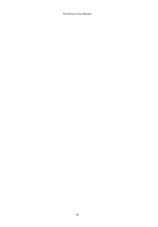The School of the Wisodm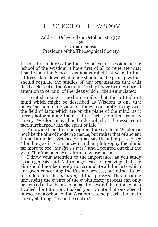## THE SCHOOL OF THE WISDOM

#### Address Delivered on October 1st, 1950 by C. Jinarajadasa President of the Theosophical Society

In this first address for the second year's session of the School of the Wisdom, I have first of all to reiterate what I said when the School was inaugurated last year. In that address I laid down what to me should be the principles that should regulate the studies of any organization that calls itself a "School of the Wisdom". Today I have to draw special attention to certain, of the ideas which I then enunciated:

I stated, using a modern simile, that the attitude of mind which might be described as Wisdom is one that takes "an aeroplane view of things, constantly flying over the field of facts which are on the plane of the mind, as it were photographing them, till no fact is omitted from its survey. Wisdom may thus be described as the essence of fact, surcharged with the spirit of Life."

Following from this conception, the search for Wisdom is not like the aim of modern Science, but rather that of ancient India. In modern Science we may say the attempt is to see "the thing as it is"; in ancient Indian philosophy the aim is far more to see "*the life as it* is," and I pointed out that the word "life"included every form of consciousness.

I draw your attention to the importance, as you study Cosmogenesis and Anthropogenesis, of realizing that the aim should not be merely to accumulate all the facts which are given concerning the Cosmic process, but rather to try to understand the *meaning* of that process. This meaning underlying the events of the evolutionary process can only be arrived at by the use of a faculty beyond the mind, which I called the Intuition. I asked you to note that one special purpose of a School of the Wisdom is to help each student to survey all things "from the centre."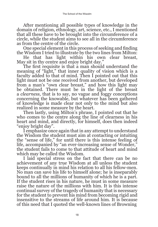After mentioning all possible types of knowledge in the domain of religion, ethnology, art, science, etc., I mentioned that all these have to be brought into the circumference of a circle, while the student aims to see all in the circumference as from the centre of the circle.

One special element in this process of seeking and finding the Wisdom I tried to illustrate by the two lines from Milton:

He that has light within his own clear breast, May sit in thy centre and enjoy bright day."

The first requisite is that a man should understand the meaning of "light," that inner quality of vision which is a faculty added to that of mind. Then I pointed out that this light must not be one received from another, but developed from a man's "own clear breast," and how this light may be obtained. There must be in the light of the breast a *clearness,* that is to say, no vague and foggy conceptions concerning the knowable, but whatever has been gathered of knowledge is made clear not only to the mind but also realized in some measure by the heart.

Then lastly, using Milton's phrase, I pointed out that he who comes to the centre along the line of clearness in his heart and mind, and directly, for himself, does then indeed "enjoy bright day".

I emphasize once again that in any attempt to understand the Wisdom the student must aim at contacting or intuiting the "sense of life," for until there is this intense feeling of life, accompanied by "an ever-increasing sense of Wonder," the student fails to come to that attitude of heart and mind which may be called the Wisdom.

I laid special stress on the fact that there can be no achievement of any true Wisdom at all unless the student keeps continually in mind his relation to all his fellow-men. No man can save his life to himself alone; he is inseparably bound to all the millions of humanity of which he is a part. If the student rises in his nature, he must in some measure raise the nature of the millions with him. It is this intense continual survey of the tragedy of humanity that is necessary for the student to prevent his mind from becoming rigid and insensitive to the streams of life around him. It is because of this need that I quoted the well-known lines of Browning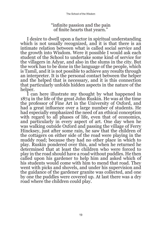#### "infinite passion and the pain of finite hearts that yearn."

I desire to dwell upon a factor in spiritual understanding which is not usually recognized, and it is that there is an intimate relation between what is called social service and the growth into Wisdom. Were it possible I would ask each student of the School to undertake some kind of service for the villagers in Adyar, and also in the slums in the city. But the work has to be done in the language of the people, which is Tamil, and it is not possible to achieve any results through an interpreter. It is the personal contact between the helper and the helped that is necessary, and it is this connection that particularly unfolds hidden aspects in the nature of the helper.

I can here illustrate my thought by what happened in 1874 in the life of the great John Ruskin. He was at the time the professor of Fine Art in the University of Oxford, and had a great influence over a large number of students. He had especially emphasized the need of an ethical conception with regard to all phases of life, even that of economics, and particularly in every aspect of art. One day when he was walking outside Oxford and passing the village of Ferry Hincksey, just after some rain, he saw that the children of the cottagers on either side of the road were playing in the muddy road; because they had no other place in which to play. Ruskin pondered over this, and when he returned he determined that at least the children who were forced to play in the road should have a road without puddles. He then called upon his gardener to help him and asked which of his students would come with him to mend that road. They went with picks and shovels, and under his supervision and the guidance of the gardener granite was collected, and one by one the puddles were covered up. At last there was a dry road where the children could play.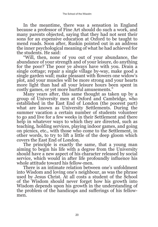In the meantime, there was a sensation in England because a professor of Fine Art should do such a work, and many parents objected, saying that they had not sent their sons for an expensive education at Oxford to be taught to mend roads. Soon after, Ruskin pointed out in an address the inner psychological meaning of what he had achieved for the students. He said:

"Will, then, none of you out of your abundance, the abundance of your strength and of your leisure, do anything for the poor? The poor ye always have with you. Drain a single cottage; repair a single village by-way, make good a single garden wall; make pleasant with flowers one widow's plot, and your muscles will be more strong and your hearts more light than had all your leisure hours been spent in costly games, or yet more hurtful amusements."

Many years after, this same thought as taken up by a group of University men at Oxford and Cambridge, who established in the East End of London (the poorest part) what are known as University Settlements. During the summer vacation a certain number of students volunteer to go and live for a few weeks in their Settlement and there help in whatever ways to which they are directed, such as teaching, holding services, playing indoor games, and going on picnics, etc., with those who come to the Settlement, in other words, to try to lift a little of the deep gloom which covers the East End of London.

The principle is exactly the same, that a young man aiming to begin his life with a degree from the University should have a new aspect of his character released by social service, which would in after life profoundly influence his whole attitude toward his fellow-men.

There is an intimate relation between one's unfoldment into Wisdom and loving one's neighbour, as was the phrase used by Jesus Christ. At all costs a student of the School of the Wisdom should never forget how his growth into Wisdom depends upon his growth in the understanding of the problem of the handicaps and sufferings of his fellowmen.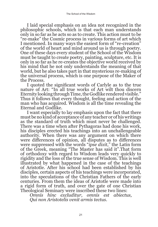I laid special emphasis on an idea not recognized in the philosophic schools, which is that each man understands only in so far as he acts so as to create. This action must to be "re-make" the Cosmic process in various forms of art which I mentioned. In many ways the easiest form of "re-creation" of the world of heart and mind around us is through poetry. One of these days every student of the School of the Wisdom must be taught to create poetry, painting, sculpture, etc. It is only in so far as he re-creates the objective world received by his mind that he not only understands the meaning of that world, but he also takes part in that mysterious re-making of the universal process, which is one purpose of the Maker of the Process.

I quoted the significant words of Carlyle as to the true nature of Art: "In all true works of Art wilt thou discern Eternity looking through Time, the Godlike rendered visible." Thus it follows that every thought, feeling and action of the man who has acquired. Wisdom is all the time revealing the Eternal and Godlike.

I want especially to lay emphasis upon the fact that there must be no kind of acceptance of any teacher or of his writings as the standard of truth which must never be challenged. There was a time when after Pythagoras had done his work, his disciples erected his teachings into an unchallengeable authority. When there was any argument on which there were differences of opinion, all disputes as to differences were suppressed with the words "*ipse dixit*," the Latin form of the Greek, meaning "The Master has said it".That form of orthodoxy with regard to Wisdom leads very quickly to rigidity and the loss of the true sense of Wisdom. This is well illustrated by what happened in the case of the teachings of Aristotle. After his school had been established by his disciples, certain aspects of his teachings were incorporated, into the speculations of the Christian Fathers of the early centuries. From them the ideas of Aristotle were made into a rigid form of truth, and over the gate of one Christian Theological Seminary were inscribed these two lines:

*Omnis hinc excluditur, omnis est abiectus, Qui non Aristotelis venit armis tectus.*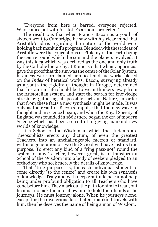"Everyone from here is barred, everyone rejected, Who comes not with Aristotle's armour protected."

The result was that when Francis Bacon as a youth of sixteen went to Cambridge he saw with his clear mind that Aristotle's ideas regarding the nature of the world were holding back mankind's progress. Blended with these ideas of Aristotle were the conceptions of Ptolemy of the earth being the centre round which the sun and the planets revolved. It was this idea which was declared as the one and only truth by the Catholic hierarchy at Rome, so that when Copernicus gave the proof that the sun was the centre of the Solar System, his ideas were proclaimed heretical and his works placed on the *Index* of heretical works. Bacon, surveying already as a youth the rigidity of thought in Europe, determined that his aim in life should be to wean thinkers away from the Aristotelian system, and start the search for knowledge afresh by gathering all possible facts in Nature, in order that from these facts a new synthesis might be made. It was only as the result of Bacon's impulse that the new wave in thought and in science began, and when the Royal Society of England was founded in 1662 there began the era of modern Science which has been so fruitful in giving mankind new worlds of knowledge.

If a School of the Wisdom in which the students are Theosophists erects any dictum, of even the greatest Teachers, into an unchallengeable metron or standard, within a generation or two the School will have lost its true purpose. To erect any kind of a "ring pass-not" round the system of any Teacher, however great, is to transform a School of the Wisdom into a body of seekers pledged to an orthodoxy who seek merely the details of knowledge.

That "true purpose" is, for each individual student to come directly "to the centre" and create his own synthesis of knowledge. Truly and with deep gratitude he cannot help being under profound obligation to all Teachers who have gone before him. They mark out the path for him to tread, but he must not ask them to allow him to hold their hands as he journeys. He must journey alone. When he journeys alone, except for the mysterious fact that all mankind travels with him, then he deserves the name of being a man of Wisdom.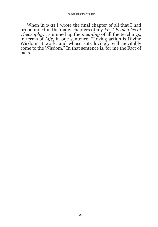When in 1921 I wrote the final chapter of all that I had propounded in the many chapters of my *First Principles of Theosophy*, I summed up the *meaning* of all the teachings, in terms of *Life,* in one sentence: "Loving action is Divine Wisdom at work, and whoso sots lovingly will inevitably come to the Wisdom." In that sentence is, for me the Fact of facts.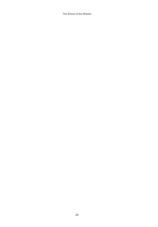The School of the Wisodm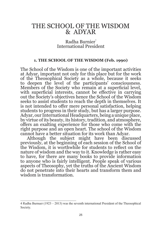## THE SCHOOL OF THE WISDOM & ADYAR

#### Radha Burnier<sup>4</sup> International President

#### **1. THE SCHOOL OF THE WISDOM (Feb. 1990)**

The School of the Wisdom is one of the important activities at Adyar, important not only for this place but for the work of the Theosophical Society as a whole, because it seeks to deepen the level of the participants' consciousness. Members of the Society who remain at a superficial level, with superficial interests, cannot be effective in carrying out the Society's objectives hence the School of the Wisdom seeks to assist students to reach the depth in themselves. It is not intended to offer mere personal satisfaction, helping students to progress in their study, but has a larger purpose. Adyar, our International Headquarters, being a unique place, by virtue of its beauty, its history, tradition, and atmosphere, offers an exalting experience for those who come with the right purpose and an open heart. The school of the Wisdom cannot have a better situation for its work than Adyar.

Although the subject might have been discussed previously, at the beginning of each session of the School of the Wisdom, it is worthwhile for students to reflect on the nature of wisdom and the way to it. Knowledge is rather easy to have, for there are many books to provide information to anyone who is fairly intelligent. People speak of various aspects of Theosophy, yet the truths of the Ancient Wisdom do not penetrate into their hearts and transform them and wisdom is transformation.

<sup>4</sup> Radha Burnuer (1923 – 2013) was the seventh international President of the Theosophical Society.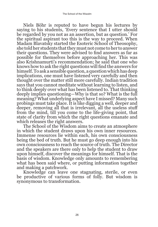Niels Böhr is reputed to have begun his lectures by saying to his students, 'Every sentence that I utter should be regarded by you not as an assertion, but as question.' For the spiritual aspirant too this is the way to proceed. When Madam Blavatsky started the Esoteric School of Theosophy, she told her students that they must not come to her to answer their questions. They were advised to find answers as far as possible for themselves before approaching her. This was also Krishnamurti's recommendation; he said that one who knows how to ask the right questions will find the answers for himself. To ask a sensible question, a question which has deep implications, one must have listened very carefully and then thought over the matter still more carefully. Indian tradition says that you cannot meditate without learning to listen, and to think deeply over what has been listened to. That thinking deeply implies questioning—Why is that so? What is the full meaning? What underlying aspect have I missed? Many such probings must take place. It is like digging a well, deeper and deeper, removing all that is irrelevant, all the useless stuff from the mind, till you come to the life-giving point, that state of clarity from which the right questions emanate and which releases the right answers.

The School of the Wisdom aims to create an atmosphere in which the student draws upon his own inner resources. Immense resources lie within each, his own consciousness being the bed of truth. But he must go deep enough into his own consciousness to reach the source of truth. The Director and the speakers are there only to help the student to draw upon himself, discover the meanings for himself. That is the basis of wisdom. Knowledge only amounts to remembering what has been said where, or putting information together and making a patchwork.

Knowledge can leave one stagnating, sterile, or even be productive of various forms of folly. But wisdom is synonymous to transformation.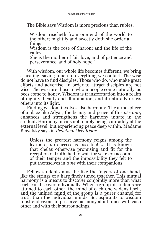The Bible says Wisdom is more precious than rubies.

Wisdom reacheth from one end of the world to the other; mightily and sweetly doth she order all things.

Wisdom is the rose of Sharon; and the life of the valley.

She is the mother of fair love; and of patience and perseverance, and of holy hope."

With wisdom, our whole life becomes different, we bring a healing, saving touch to everything we contact. The wise do not have to find disciples. Those who do, who make great efforts and advertise, in order to attract disciples are not wise. The wise are those to whom people come naturally, as bees come to honey. Wisdom is transformation into a realm of dignity, beauty and illumination, and it naturally draws others into its light.

Finding wisdom involves also harmony. The atmosphere of a place like Adyar, the beauty and peace of this *āśrama*, enhances and strengthens the harmony innate in the student. Harmony means not merely being comradely at the external level, but experiencing peace deep within. Madame Blavatsky says in *Practical Occultism*:

Unless the greatest harmony reigns among the learners, *no* success is possible!..... It is known that chelas otherwise promising and fit for the reception of truth, had to wait for years on account of their temper and the impossibility they felt to put themselves in *tune* with their companions.

Fellow students must be like the fingers of one hand, like the strings of a harp finely tuned together. This mutual harmony is a means to discover conjointly more than what each can discover individually. When a group of students are attuned to each other, the mind of each one widens itself, and the unified mind of the group is a purer channel for truth than the individual minds. So, aspirants to wisdom must endeavour to preserve harmony at all times with each other and with their surroundings.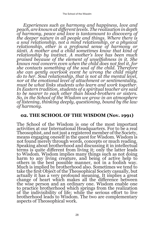*Experiences such as harmony and happiness, love and peach, are known at different levels. The realization in depth of harmony, peace and love is tantamount to discovery of the deeper nature in all people and things. Where there is a soul relationship, not a mind relationship, or a physical relationship, ether is a profound sense of harmony or śānti. A mother and a child sometimes know that kind of relationship by instinct. A mother's love has been much praised because of the element of unselfishness in it. She knows real concern even when the child does not feel it, for she contacts something of the soul of the child. Therefore she can gently overlook event he wrong the child might do to her. Soul relationship, that is not at the mental level, nor at the emotional level of attachment or sentimentality, must be what links students who learn and work together. In Eastern tradition, students of a spiritual teacher are said to be nearer to each other than blood-brothers or sisters. So, in the School of the Wisdom we grow in an atmosphere of listening, thinking deeply, questioning, bound by the law of harmony.* 

#### **02. THE SCHOOL OF THE WISDOM (Nov. 1991)**

The School of the Wisdom is one of the most important activities at our International Headquarters. For to be a real Theosophist, and not just a registered member of the Society, means engaging oneself in the quest for Wisdom. Wisdom is not found merely through words, concepts or much reading. Speaking about brotherhood and discussing it in intellectual terms is quite different from living it; only the latter leads to Wisdom. Wisdom implies many things such as not doing harm to any living creature, and being of active help to others in the best possible manner, not in a foolish way. Much is implied by brotherhood also. Sometimes we tend to take the first Object of the Theosophical Society casually, but actually it has a very profound meaning. It implies a great change of heart which makes all the difference between the wise person and an ordinary one. Wisdom enable one to practice brotherhood which springs from the realization of the indivisibility of life; while the serious effort to live brotherhood leads to Wisdom. The two are complementary aspects of Theosophical work.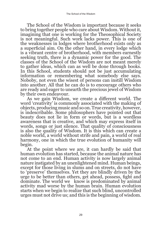The School of the Wisdom is important because it seeks to bring together people who care about Wisdom. Without it, imagining that one is working for the Theosophical Society is not meaningful. Such work lacks power. This is one of the weaknesses in lodges where brotherhood exists only as a superficial aim. On the other hand, in every lodge which is a vibrant centre of brotherhood, with members earnestly seeking truth, there is a dynamic power for the good. The classes of the School of the Wisdom are not meant merely to gather ideas, which can as well be done through books. In this School, students should not be just accumulating information or remembering what somebody else says. Noboby, not even the wisest of persons can instill Wisdom into another. All that he can do is to encourage others who are ready and eager to unearth the precious jewel of Wisdom by their own endeavour.

As we gain Wisdom, we create a different world. The word 'creativity' is commonly associated with the making of objects, producing music and so on. True creativity, however, is indescribable. Some philosophers have pointed out that beauty does not lie in form or words, but is a wordless awareness that is creative, and which may express itself in words, songs or just silence. That quality of consciousness is also the quality of Wisdom. It is this which can create a noble world, a world without strife and pain, a world of real harmony, one in which the true evolution of humanity will begin.

At the point where we are, it can hardly be said that human evolution has started, because the animal nature has not come to an end. Human activity is now largely animal nature instigated by an unenlightened mind. Human beings, except for those living in slums and on streets, do not have to 'preserve' themselves. Yet they are blindly driven by the urge to be better than others, get ahead, possess, fight and dominate. The world we know is predominated by animal activity mad worse by the human brain. Human evolution starts when we begin to realize that such blind, uncontrolled urges must not drive us; and this is the beginning of wisdom.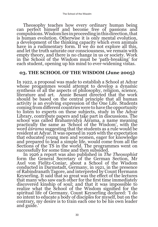Theosophy teaches how every ordinary human being can perfect himself and become free of passions and compulsions. Wisdom lies in proceeding in this direction, that is human evolution. Otherwise it is only mental evolution, a development of the thinking capacity which even animals have in a rudimentary form. If we do not explore all this, and let the truth saturate our consciousness, we remain with empty theory, and there is no change in us or society. Work in the School of the Wisdom must be 'path-breaking' for each student, opening up his mind to ever-widening vistas.

#### **03. THE SCHOOL OF THE WISDOM (June 2005)**

In 1922, a proposal was made to establish a School at Adyar whose progammes would attempt to develop a dynamic synthesis of all the aspects of philosophy, religion, science, literature and art. Annie Besant directed that the work should be based on the central principle that all human activity is an evolving expression of the One Life. Students coming from different countries were to have the opportunity to listen to experts on these subjects, study in the Adyar Library, contribute papers and take part in discussions. The school was called Brahamvidyā Āśrama, a name meaning practically the same as 'School of the Wisdom', with the word  $\overline{a}$  states as a rule would be resident at Adyar. It was opened in 1926 with the expectation that educated young men and women, eager for knowledge and prepared to lead a simple life, would come from all the Sections of the TS in the world. The programmes went on successfully for some time and then subsided.

successfully for some time and then subsided. In 1926 a report was also published in *The Theosophist* form the General Secretary of the German Section, Mr Axel von Fielitz-Coniar, about a School of the Wisdom conducted in Darmstadt, Germany, in 1921, in the presence of Rabindranath Tagore, and interpreted by Count Hermann Keyserling. It said that so great was the effect of the lectures that many who saw each other for the first time immediately discovered kinship of soul; and that it was impossible to realize what the School of the Wisdom signified for the spiritual life of Germany. Count Keyserling declared: 'I do no intent to educate a body of disciples for myself, but on the contrary, my desire is to train each one to be his own leader and guide.'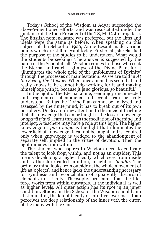Today's School of the Wisdom at Adyar succeeded the above0-mentioned efforts, and was resuscitated under the guidance of the then President of the TS, Mr C. Jinarājadāsa. The English nomenclature was preferred, but the aims and ideals were the same as before. When speaking on this subject of the School of 1926, Annie Besant made various points which are still relevant today. First of all, she clarified the purpose of the studies to be undertaken. What would the students be seeking? The answer is suggested by the name of the School itself. Wisdom comes to those who seek the Eternal and catch a glimpse of the Divine Plan, for it 'illuminates the whole field of the unfoldment of Divinity' through the processes of manifestation. As we are told in *At the Feet of the Master*: 'When once a man has seen that and really knows it, he cannot help working for it and making himself one with it, because it is so glorious, so beautiful.

In the light of the Eternal alone, seemingly unconnected<br>and fragmented phenomena and events can be truly understood. But as the Divine Plan cannot be analyzed and assessed by the finite mind, it has to break out of its own periphery. Dr Besant drew attention to the ancient teaching that all knowledge that can be taught is the lesser knowledge or *aparā vidyā,* learnt through the mediation of the mind and intellect. A teachere may have a role at this level. The higher knowledge or *parā vidyā* is the light that illuminates the lower field of knowledge. It cannot be taught and is acquired only when knowledge is wedded to the abandonment of separate self, implied in the virtue of devotion. Then the light radiates from within.

The student who aspires to Wisdom need to cultivate the talent to look from within, and not as an outsider. This means developing a higher faculty which sees from inside and is therefore called intuition, insight or *buddhi*. The ordinary mind looks from outside at the whole movement of life as 'objects', and hence lacks the understanding necessary for synthesis and reconciliation of apparently discordant elements in a Unity. Theosophy proclaims that the lifeforce works from within outwards, at the individual as well as higher levels. All outer action has its root in an inner condition. Studies in the School of the Wisdom should aim at stimulating the latent faculty of intuitive awareness than perceives the deep relationship of the inner with the outer, of the many with the One.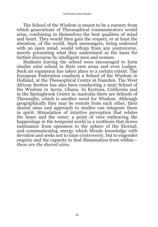The School of the Wisdom is meant to be a nursery from which generations of Theosophical communicators would arise, combining in themselves the best qualities of mind and heart. They would then gain the respect, or at least the attention, of the world. Such messengers, being endowed with an open mind, would refrain from any controversy, merely presenting what they understand as the basis for further discourse by intelligent men and women.

Students leaving the school were encouraged to form similar mini school in their own areas and even Lodges. Such an expansion has taken place to a certain extent. The European Federation conducts a School of the Wisdom in Holland, at the Theosophical Centre in Naarden. The West African Section has also been conducting a mini School of the Wisdom in Accra, Ghana. In Krotona, California and in the Springbrook Centre in Australia there are Schools of Theosophy, which is another word for Wisdom. Although geographically they may be remote from each other, their shared aims and approach to studies can integrate them in spirit. Stimulation of intuitive perception that relates the inner and the outer; a point of view embracing the happenings in the temporal world in a synthesis that draws sustenance from openness to the sphere of the Eternal; and communicating energy which blends knowledge with devotion and seeks not to raise controversy, but to engender enquiry and the capacity to find illumination from within *these are the shared aims.*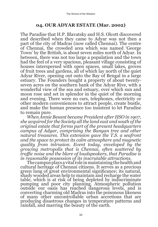### **04. OUR ADYAR ESTATE (Mar. 2002)**

The Paradise that H.P. Blavatsky and H.S. Olcott discovered and described when they came to Adyar was not then a part of the city of Madras (now called Chennai). The centre of Chennai, the crowded area which was named 'George Town' by the British, is about seven miles north of Adyar. In between, there was not too large a population and the town had the feel of a very spacious, pleasant village consisting of houses interspersed with open spaces, small lakes, groves of fruit trees and gardens, all of which lay north of the quiet Adyar River, opening out onto the Bay of Bengal in a large estuary. The Founders bought a property of about twentyseven acres on the southern bank of the Adyar Rive, with a wonderful view of the sea and estuary, over which sun and moon rose and set in splendor in the quiet of the morning and evening. There were no cars, telephones, electricity or other modern conveniences to attract people, create bustle, and make the human presence too insistent to let Paradise to remain pure.

*When Annie Besant became President after HSO in 1907, she acquired for the Society all the land east and south of the original estate that forms part of the present headquarters campus of Adyar, comprising the Banyan tree and other natural treasures. This extension gave the T.S. a seafront and the space to protect its calm atmosphere and magnetic quality from intrusion. Event today, enveloped by the growing metropolis that is Chennai, often scattered by traffic noise and the blare of loudspeakers, that Paradise is* 

*in reasonable possession of its inscrutable attractions.* The campus plays a vital role in maintaining the health and cultural heritage of Chennai citizens. It serves as a precious green lung of great environmental significance; its natural, shady wooded areas help to maintain and recharge the water table, which is at risk of being depleted by indiscriminate pumping and poor city planning. Atmospheric pollution outside our oasis has reached dangerous levels, and is converting charming old Madras into the poisonous likeness of many other uncontrollable urban accretions that are producing disastrous changes in temperature patterns and rainfall, and marring the beauty of the earth.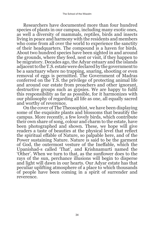Researchers have documented more than four hundred species of plants in our campus, including many exotic ones, as well a diversity of mammals, reptiles, birds and insects living in peace and harmony with the residents and members who come from all over the world to experience the sanctity of their headquarters. The compound is a haven for birds. About two hundred species have been sighted in and around the grounds, where they feed, nest or visit, if they happen to be migratory. Decades ago, the Adyar estuary and the islands adjacent to the T.S. estate were declared by the government to be a sanctuary where no trapping, snaring, shooting or even removal of eggs is permitted. The Government of Madras conferred on the T.S. the privilege of protecting animal life and around our estate from proachers and other ignorant, destructive groups such as gypsies. We are happy to fulfil this responsibility as far as possible, for it harmonizes with our philosophy of regarding all life as one, all equally sacred and worthy of reverence.

On the cover of The Theosophist, we have been displaying some of the exquisite plants and blossoms that beautify the campus. More recently, a few lovely birds, which contribute their own share of song, colour and charm to the estate, have been photographed and shown. These, we hope will give readers a taste of beauties at the physical level that reflect the spiritual effable of Nature, so palpable here, and of the Power sustaining Nature. Nature is said to be the garment of God, the outermost vesture of the Ineffable, which the Upanishad-s called 'That', and Krishnamurti named the 'Other'. When we turn to that, as the sunflower does to the rays of the sun, perchance illusions will begin to disperse and light will dawn in our hearts. Our Adyar estate has that peculiar uplifting atmosphere of a place to which thousands of people have been coming in a spirit of surrender and reverence.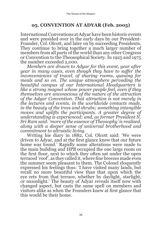### **05. CONVENTION AT ADYAR (Feb. 2005)**

International Conventions at Adyar have been historic events and were presided over in the early days by our President-Founder, Col. Olcott, and later on by succeeding Presidents. They continue to bring together a much larger number of members from all parts of the world than any other Congress or Convention to the Theosophical Society. In 1925 and 1975 the number exceeded 2,000.

*Members are drawn to Adyar for this event, year after year in many cases, even though they have to suffer the inconveniences of travel, of sharing rooms, queuing for meals and so on. The unique atmosphere pervading the beautiful campus of our International Headquarters is like a strong magnet whose power people feel, even if they themselves are unconscious of the nature of the attraction of the Adyar Convention. That attraction is not merely in the lectures and events, in the worldwide contacts made, in the beauty of the trees and shrubs; something intangible moves and uplifts the participants. A greater degree of understanding is experienced; and, as former President N. Sri Ram said: 'more of the essence of Theosophy' is realized, along with a deeper sense of universal brotherhood and commitment to altruistic living.* 

Writing hie diary in 1882, Col. Olcott said: 'We were driven to Adyar, and at the first glance knew that our future home was found.' Rapidly some alterations were made to the main building and HPB occupied the one large room on the first floor, next to which they often sat under the open terraced 'roof', as they called it, where fine breezes made even the summer seem pleasant to them. The Colonel eloquently expressed his feelings thus: 'I have visited many lands, but recall no more beautiful view than that upon which the eye rets from that terrace, whether by daylight, starlight, or moonlight.' The beauty of Adyar reveals itself now with changed aspect, but casts the same spell on members and visitors alike as when the Founders knew at first glance that this would be their home.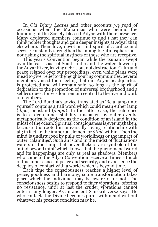In *Old Diary Leaves* and other accounts we read of occasions when the Mahatmas who were behind the founding of the Society blessed Adyar with their presence. Many dedicated members continue to find t hat they can think nobler thoughts and gain deeper insights at Adyar than elsewhere. Their love, devotion and spirit of sacrifice and service constantly strengthen the intangible atmosphere her, nourishing the spiritual instincts of those who are receptive.

This year's Convention began while the tsunami swept over the east coast of South India and the water flowed up the Adyar River, leaving debris but not destruction. Calm and peace reigned over our proceedings, even while plans were mead to give relief to the neighbouring communities. Several members voiced their feeling that our Adyar headquarters is protected and will remain safe, so long as the spirit of dedication to the promotion of universal brotherhood and a selfless quest for wisdom remain central to the live and work

of members.<br>The Lord Buddha's advice translated as 'Be a lamp unto yourself contains a Pāli word which could mean either lamp (*dipa*) or island (*dvipa*). In the latter case, the reference is to a deep inner stability, unshaken by outer events, metaphorically depicted as the condition of an island in the midst of the ocean. Spiritual consciousness is ever unshaken, because it is rooted in universally loving relationship with all; in fact, in the immortal element or *ātmā* within. Then the mind is undisturbed by pulls of worldliness or the impact of outer 'calamities'. Such an island in the midst of fluctuations waters of the lamp that never flickers are symbols of the 'mind beyond mint' which knows that the phenomenal world and its happenings are only as real as shadows. Members who come to the Adyar Convention receive at times a touch of this inner sense of peace and security, and experience the

Each time the consciousness reaches a higher level of peace, goodness and harmony, some transformation takes place which the individual may be aware of or not. The consciousness begins to respond to finer vibrations, offering no resistance, until at last the cruder vibrations cannot enter it any longer. As an ancient Sanskrit verse says: He who contacts the Divine becomes purer within and without whatever his present condition may be.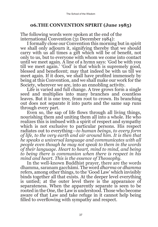### **06.THE CONVENTION SPIRIT (June 1985)**

The following words were spoken at the end of the international Convention (31 December 1984):

I formally close our Convention this morning but in spirit we shall only adjourn it, signifying thereby that we should carry with us all times a gift which will be of benefit, not only to us, but to everyone with whom we come into contact until we meet again. A line of a hymn says: 'God be with you till we meet again.' 'God' is that which is supremely good, blessed and beneficent; may that indeed be with us till we meet again. If it does, we shall have profited immensely by being at this Convention, and we shall make our work for the Society, wherever we are, into an ennobling activity.

Life is varied and full change. A tree grows form a single seed and multiplies into many branches and countless leaves. But it is one tree, from root to crown. Its branching out does not separate it into parts and the same sap runs through every part.

Even so, the sap of life flows through all living things, nourishing them and uniting them all into a whole. He who realizes this is imbued with a spirit of respect and sympathy which is not exclusive to particular persons. His respect radiates out to everything*—to human beings, to every form of life, to the very earth and air around him. It is then that he speaks a universal language and communicates with all people even though he may not speak to them in the words of their language. Heart to heart, mind to mind, and being to being there is communion when there is respect in his mind and heart. This is the essence of Theosophy.*

In the well-known Buddhist prayer, there are the words dhamma, saranam gacchāmi. The word *dharma* or *dhamma* refers, among other things, to the 'Good Law' which invisibly binds together all that exists. At the deeper level everything is untied; at the outer level there is the appearance of separateness. When the apparently separate is seen to be rooted in the One, the Law is understood. Those who become aware of that Law and take refuge in it cannot help being filled to overflowing with sympathy and respect.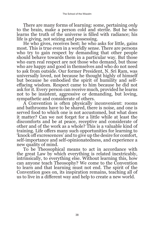There are many forms of learning: some, pertaining *only* to the brain, make a person cold and sterile. But he who learns the truth of the universe is filled with radiance; his life is giving, not seizing and possessing.

He who gives, receives best; he who asks for little, gains most. This is true even in a worldly sense. There are persons who try to gain respect by demanding that other people should behave towards them in a particular way. But those who earn real respect are not those who demand, but those who are happy and good in themselves and who do not need to ask from outside. Our former President, N. Sri Ram, was universally loved, not because he thought highly of himself but because he embodied the spirit of humility and selfeffacing wisdom. Respect came to him because he did not ask for it. Every person can receive much, provided he learns not to be insistent, aggressive or demanding, but loving, sympathetic and considerate of others.

A Convention is often physically inconvenient: rooms and bathrooms have to be shared, there is noise, and one is served food to which one is not accustomed, but what does it matter? Can we not forget for a little while at least the discomforts and be at peace, receptive and considerate of other and of the work as a whole? This is a valuable kind of training. Life offers many such opportunities for learning to 'knock off excrescences' and to give up the desire for comfort, self-importance and self-opinionatedness, and experience a new quality of mind.

To be Theosophical means to act in accordance with the great Law by which everything is related inextricably, intrinsically, to everything else. Without learning this, how can anyone teach Theosophy? We come to the Convention to learn and that learning must not end. The spirit of the Convention goes on, its inspiration remains, teaching all of us to live in a different way and help to create a new world.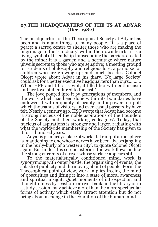#### **07.THE HEADQUARTERS OF THE TS AT ADYAR (Dec. 1982)**

The headquarters of the Theosophical Society at Adyar has been and is many things to many people. It is a place of peace; a sacred centre to shelter those who are making the pilgrimage to the 'sanctuary' within their own hearts; it is a living symbol of friendship transcending the barriers created by the mind; it is a garden and a hermitage where nature unveils secrets to those who are sensitive; a meeting ground for students of philosophy and religious lore; a paradise for children who are growing up; and much besides. Colonel Olcott wrote about Adyar in his diary, 'No large Society' could ask for a better executive headquarters than ours………. When HPB and I first saw it, it filled her with enthusiasm and her love of it endured to the last.'<br>The love poured into it by generations of members, and

the work which has been done within its boundaries have endowed it with a quality of beauty and a power to uplift which thousands of visitors and even casual passers-by have felt. Nearly a century ago, HSO wrote that Adyar had become 'a strong nucleus of the noble aspirations of the Founders of the Society and their working colleagues'. Today, that nucleus of aspirations is stronger and larger, radiating with what the worldwide membership of the Society has given to it for a hundred years.

Adyar is primarily a place of work. Its tranquil atmosphere is 'maddening to one whose nerves have been always jangling in the hurly-burly of a western city', to quote Colonel Olcott again. But under this serene exterior, the work flows on like the strong currents of a river whose surface appears still.

To the materialistically conditioned mind, work is synonymous with outer bustle, the organizing of events, the splash of publicity and the moving about of people. Form the Theosophical point of view, work implies freeing the mind of obscurities and lifting it into a state of moral awareness and spiritual insight. Quiet moments of introspection and thoughtfulness by seashore or river bank, in the library or in a study session, may achieve more than the more spectacular forms of activity which easily attract attention but do not bring about a change in the condition of the human mind.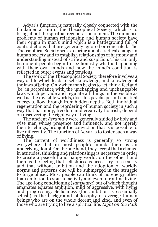Adyar's function is naturally closely connected with the fundamental aim of the Theosophical Society, which is to bring about the spiritual regeneration of man. The immense problems of human relationship and human society have their origin in man's mind which is a battleground full of contradictions that are generally ignored or concealed. The Theosophical Society seeks to bring about a radical change in human society and to establish relationships of harmony and understanding instead of strife and suspicion. This can only be done if people begin to see honestly what is happening with their own minds and how the mind's condition is

reflected in outer events and tensions.<br>The work of the Theosophical Society therefore involves a way of life which leads to self-knowledge, and knowledge of the laws of being. Only when man begins to act, think, feel and 'be' in accordance with the unchanging and unchangeable laws which pervade and regulate all things in the visible as well as the invisible worlds, does his psyche permit spiritual energy to flow through from hidden depths. Both individual regeneration and the reordering of human society in such a way that harmony, freedom and creativity flourish, depend on discovering the right way of living.

The ancient  $\bar{a}$ *srama-s* were generally guided by holy and wise men whose presence and influence, and not merely their teachings, brought the conviction that is is possible to live differently. The function of Adyar is to foster such a way of living.

The current of worldliness is generally so strong everywhere that in most people's minds there is an underlying doubt. On the one hand, they accept that a change in attitudes, thinking and relationships is necessary in order to create a peaceful and happy world; on the other hand there is the feeling that selfishness is necessary for security and that without ambition and the adoption of worldly norms and patterns one will be submerged in the struggle to forge ahead. Most people can think of no energy other than ambition to spur to activity and even to routine living.<br>The age-long conditioning (samskara) out of which thought emanates equates ambition, mild of aggressive, with living and progressing. Selfishness (for ambition is essentially selfish) is the background philosophy of average human beings who are on the whole decent and kind, and even of those who are trying to live a spiritual life. *Light on the Path*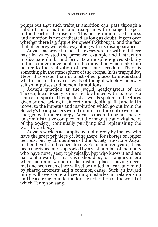points out that such traits as ambition can 'pass through a subtle transformation and reappear with changed aspect in the heart of the disciple'. This background of selfishness and ambition is not eradicated as long as doubt lingers over whether there is a future for oneself without it, and the fear that all energy will ebb away along with its disappearance.

Adyar has proved to be a true  $\overline{a}$ *srama*, for within it there has always existed the presence, example and instruction to dissipate doubt and fear. Its atmosphere gives stability to those inner movements in the individual which take him nearer to the realization of peace and freedom. There is something in the atmosphere of the eternal in its tranquility. Here, it is easier than in most other places to understand what it means to live at levels of thought which wipe away selfish impulses and personal ambitions.

Adyar's function as the world headquarters of the Theosophical Society is inextricably linked with its role as a centre for spiritual living. Just as words spoken and lectures given by one lacking in sincerity and depth fall flat and fail to move, so the impetus and inspiration which go out from the Society's headquarters would diminish if the centre were not charged with inner energy. Adyar is meant to be not merely an administrative complex, but the magnetic and vital heart of the Society, continually purifying and replenishing the

Adyar's work is accomplished not merely by the few who have the great privilege of living there, for shorter or longer periods, but by all members of the Society who have Adyar in their hearts and realize its role. For a hundred years, it has been cherished and supported by a vast number of members who have never seen it physically, but who know it and are part of it inwardly. This is as it should be, for it augurs an era when men and women in far distant places, having never met and seen each other will yet be united in heart and mind by shared interests and a common cause. Such an inward unity will overcome all seeming obstacles in relationship and be a strong foundation for the federation of the world of which Tennyson sang.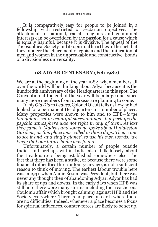It is comparatively easy for people to be joined in a fellowship with restricted or sectarian objectives. The attachment to national, racial, religious and communal interests can be overridden by the passion for a cause which is equally harmful, because it is divisive. The appeal of the Theosophical Society and its spiritual heart lies in the fact that they pioneer the effacement of egoism and the unification of men and women in the unbreakable and constructive bonds of a divisionless universality.

#### **08.ADYAR CENTENARY (Feb 1982)**

We are at the beginning of the year 1982, when members all over the world will be thinking about Adyar because it is the hundredth anniversary of the Headquarters in this spot. The Convention at the end of the year will be a large one, since many more members from overseas are planning to come.

In his *Old Diary Leaves*, Colonel Olcott tells us how he had looked for a permanent Headquarters in a number of places. Many properties were shown to him and to HPB*—large bungalows set in beautiful surroundings—but perhaps the psychic atmosphere was not right in any of them. At last they came to Madras and someone spoke about Huddleston Gardens, as this place was called in those days. They came to see it and 'at a single glance', to use his own words, 'we knew that our future home was found'.* 

Unfortunately, a certain number of people outside India—and perhaps within India also—talk loosely about the Headquarters being established somewhere else. The fact that there has been a strike, or because there were some financial difficulties three or four years ago, is not a sufficient reason to think of moving. The earliest labour trouble here was in 1931, when Annie Besant was President, but there was never any thought then of abandoning Adyar. Adyar has had its share of ups and downs. In the early days when HPB was still here there were many storms including the treacherous Coulomb affair which brought calumny against HPB and the Society everywhere. There is no place on earth where there are no difficulties. Indeed, whenever a place becomes a focus for spiritual influences, counter-forces are likely to be set up.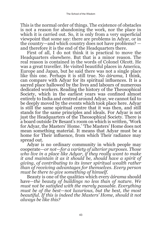This is the normal order of things. The existence of obstacles is not a reason for abandoning the work, nor the place in which it is carried out. So, it is only from a very superficial viewpoint that some say: there are problems in Adyar, or in the country—and which country does not have problems? and therefore it is the end of the Headquarters there.

First of all, I do not think it is practical to move the Headquarters elsewhere. But that is a minor reason. The real reason is contained in the words of Colonel Olcott. He was a great traveller. He visited beautiful places in America, Europe and Japan, but he said there was not a single place like this one. Perhaps it is still true. No *āśrama,* I think, can compare with Adyar for its spiritual influences. It is a sacred place hallowed by the lives and labours of numerous dedicated workers. Reading the history of the Theosophical Society, which in the earliest years was confined almost entirely to India and centred around Adyar, we cannot fail to be deeply moved by the events which took place here. Adyar is still the same spiritual centre that it was then, and still stands for the same principles and ideals. For Adyar is not just the Headquarters of the Theosophical Society. There is a board outside Dr Besant's room on which is written, 'Work for Adyar, the Masters' Home.' 'The Masters' Home does not mean something material. It means that Adyar must be a home for Their influence, from which Their radiance may spread out.

Adyar is no ordinary community in which people may cooperate*—or not—for a variety of ulterior purposes. Those who live in a place like Adyar, if they really want to make it and maintain it as it should be, should have a spirit of giving, of contributing to its inner spiritual wealth rather than of receiving advantages for themselves. Every person must be there to give something of himself.* 

Beauty is one of the qualities which every *āśrama* should have*—the beauty of buildings no less than of nature. We must not be satisfied with the merely passable. Everything must be of the best—not luxurious, but the best, the most beautiful. If this is indeed the Masters' Home, should it not always be like this?*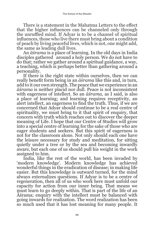There is a statement in the Mahatma Letters to the effect that the higher influences can be channeled only through the unruffled mind. If Adyar is to be a channel of spiritual influences, those who live there must bring about a condition of peach by living peaceful lives, which is not, one might add, the same as leading dull lives.

An *āśrama* is a place of learning. In the old days in India disciples gathered around a holy person. We do not have to do that; rather we gather around a spiritual guidance, a way, a teaching, which is perhaps better than gathering around a personality.

If there is the right state within ourselves, then we can really benefit form being in an *āśrama* like this and, in turn, add to it our own strength. The peace that we experience in an *āśrama* is neither placid nor dull. Peace is not inconsistent with eagerness of intellect. So an *āśrama,* as I said, is also a place of learning; and learning requires receptivity, an alert intellect, an eagerness to find the truth. Thus, if we are concerned that Adyar should continue to be a real centre of spirituality, we must bring to it that spirit of enquiry, that concern with truth which reaches out to discover the deeper meaning of Life. I hope that our Centre of Studies will grow into a special centre of learning for the sake of those who are eager students and seekers. But this spirit of eagerness is not for the classroom alone. Not only should each one have the leisure necessary for study and meditation, for sitting quietly under a tree or by the sea and becoming inwardly aware, but each one of us should pull his weight in the work assigned to him.

India, like the rest of the world, has been invaded by 'modern knowledge'. Modern knowledge has achieved wonderful things in the eradication of disease; in making life easier. But this knowledge is outward turned, for the mind always externalizes questions. If Adyar is to be a centre of regeneration, then all of us who work here must unfold our capacity for action from our inner being. That means we must learn to go deeply within. That is part of the life of an Āśrama; enquiry with the intellect must be balanced with going inwards for realization. The word realization has been so much used that it has lost meaning for many people. It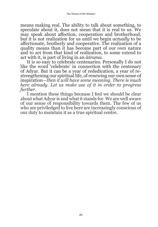means making real. The ability to talk about something, to speculate about it, does not mean that it is real to us. We may speak about affection, cooperation and brotherhood, but it is not realization for us until we begin *actually* to be affectionate, brotherly and cooperative. The realization of a quality means than it has become part of our own nature and to act from that kind of realization, to some extend to act with it, is part of living in an *āśrama.* 

It is so easy to celebrate centenaries. Personally I do not like the word 'celebrate' in connection with the centenary of Adyar. But it can be a year of rededication, a year of restrengthening our spiritual life, of renewing our own sense of inspiration*—then it will have some meaning. There is much here already. Let us make use of it in order to progress further.* 

I mention these things because I feel we should be clear about what Adyar is and what it stands for. We are well aware of our sense of responsibility towards them. The few of us who are priviledged to live here are increasingly conscious of our duty to maintain it as a true spiritual centre.